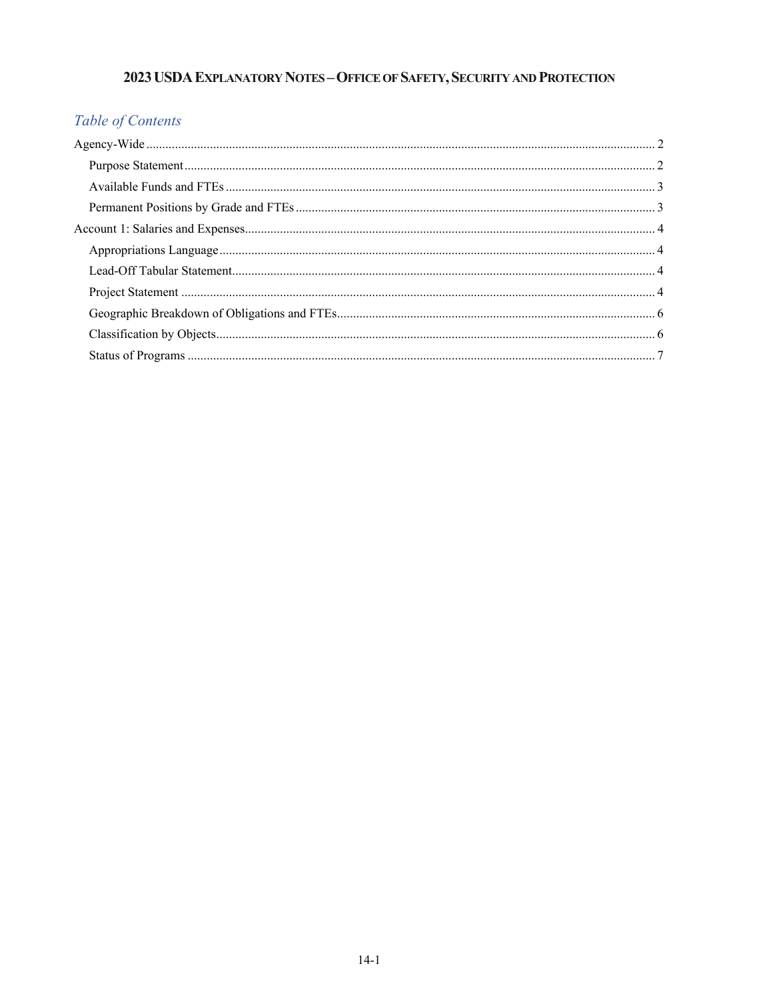# 2023 USDA EXPLANATORY NOTES - OFFICE OF SAFETY, SECURITY AND PROTECTION

# Table of Contents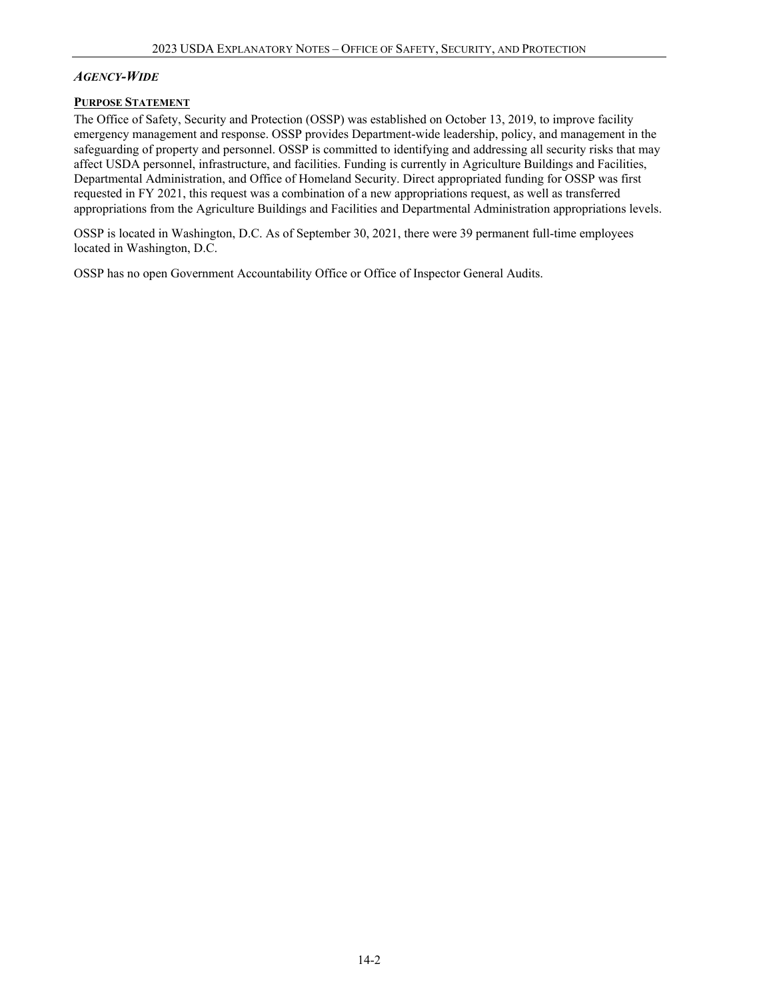## *AGENCY-WIDE*

## **PURPOSE STATEMENT**

The Office of Safety, Security and Protection (OSSP) was established on October 13, 2019, to improve facility emergency management and response. OSSP provides Department-wide leadership, policy, and management in the safeguarding of property and personnel. OSSP is committed to identifying and addressing all security risks that may affect USDA personnel, infrastructure, and facilities. Funding is currently in Agriculture Buildings and Facilities, Departmental Administration, and Office of Homeland Security. Direct appropriated funding for OSSP was first requested in FY 2021, this request was a combination of a new appropriations request, as well as transferred appropriations from the Agriculture Buildings and Facilities and Departmental Administration appropriations levels.

OSSP is located in Washington, D.C. As of September 30, 2021, there were 39 permanent full-time employees located in Washington, D.C.

OSSP has no open Government Accountability Office or Office of Inspector General Audits.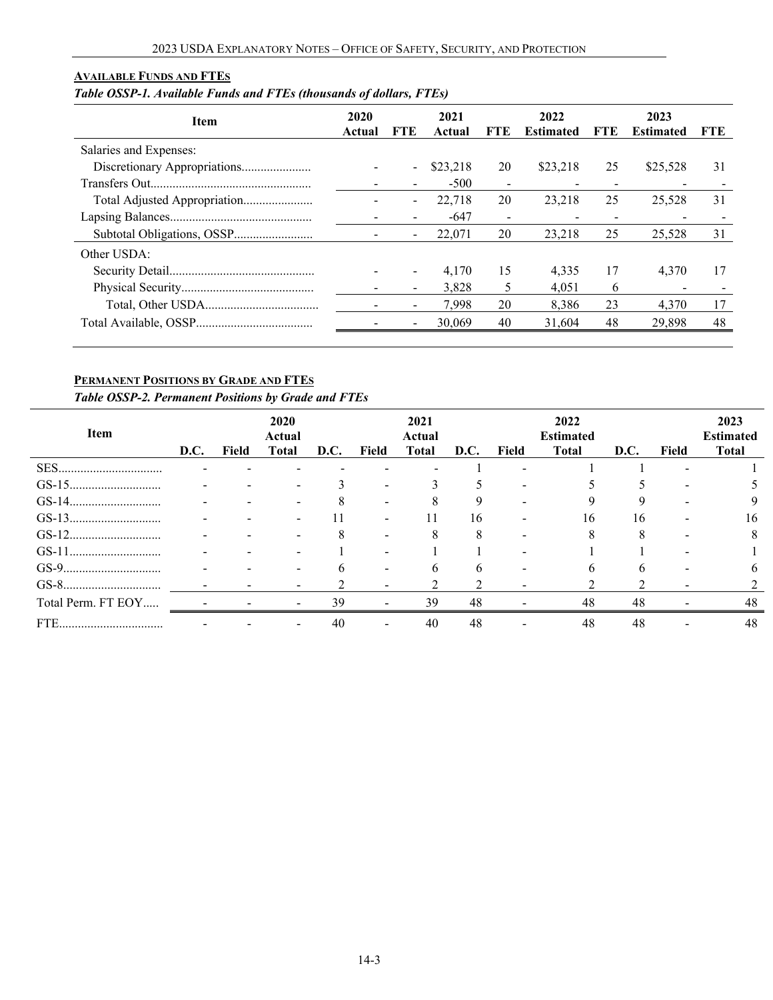# **AVAILABLE FUNDS AND FTES**

# *Table OSSP-1. Available Funds and FTEs (thousands of dollars, FTEs)*

| <b>Item</b>                  | 2020<br>Actual | <b>FTE</b> | 2021<br>Actual | FTE                      | 2022<br><b>Estimated</b> | FTE | 2023<br><b>Estimated</b> | <b>FTE</b> |
|------------------------------|----------------|------------|----------------|--------------------------|--------------------------|-----|--------------------------|------------|
| Salaries and Expenses:       |                |            |                |                          |                          |     |                          |            |
| Discretionary Appropriations |                | $\sim$     | \$23,218       | 20                       | \$23,218                 | 25  | \$25,528                 | 31         |
|                              |                |            | $-500$         | $\overline{\phantom{a}}$ |                          |     |                          |            |
|                              |                | $\sim$     | 22,718         | 20                       | 23.218                   | 25  | 25,528                   | 31         |
|                              |                |            | -647           | $\overline{\phantom{a}}$ |                          | -   |                          |            |
|                              |                |            | 22,071         | 20                       | 23.218                   | 25  | 25.528                   | 31         |
| Other USDA:                  |                |            |                |                          |                          |     |                          |            |
|                              |                |            | 4.170          | 15                       | 4.335                    | 17  | 4.370                    | 17         |
|                              |                |            | 3.828          | 5                        | 4.051                    | 6   |                          |            |
|                              |                |            | 7.998          | 20                       | 8.386                    | 23  | 4,370                    | 17         |
|                              |                |            | 30,069         | 40                       | 31,604                   | 48  | 29,898                   | 48         |

## **PERMANENT POSITIONS BY GRADE AND FTES**

*Table OSSP-2. Permanent Positions by Grade and FTEs*

| <b>Item</b>        | D.C. | Field | 2020<br>Actual<br><b>Total</b> | D.C.         | Field | 2021<br>Actual<br><b>Total</b> | D.C. | Field | 2022<br><b>Estimated</b><br><b>Total</b> | D.C. | <b>Field</b> | 2023<br><b>Estimated</b><br><b>Total</b> |
|--------------------|------|-------|--------------------------------|--------------|-------|--------------------------------|------|-------|------------------------------------------|------|--------------|------------------------------------------|
|                    |      |       |                                |              |       |                                |      |       |                                          |      |              |                                          |
|                    |      |       |                                |              |       |                                |      |       |                                          |      |              |                                          |
|                    |      |       |                                | Δ            |       |                                |      |       |                                          |      |              |                                          |
|                    |      |       |                                | 11           |       |                                | 16   |       | 16                                       | 16   |              | 16                                       |
|                    |      |       |                                | 8            |       |                                | 8    |       |                                          | 8    |              | 8                                        |
|                    |      |       |                                |              |       |                                |      |       |                                          |      |              |                                          |
|                    |      |       | $\overline{\phantom{0}}$       | <sub>6</sub> |       | h.                             | 6    |       | h.                                       | h    |              | 6                                        |
|                    |      |       |                                |              |       |                                |      |       |                                          |      |              |                                          |
| Total Perm. FT EOY |      |       |                                | 39           |       | 39                             | 48   |       | 48                                       | 48   |              | 48                                       |
| FTE                |      |       |                                | 40           |       | 40                             | 48   |       | 48                                       | 48   |              | 48                                       |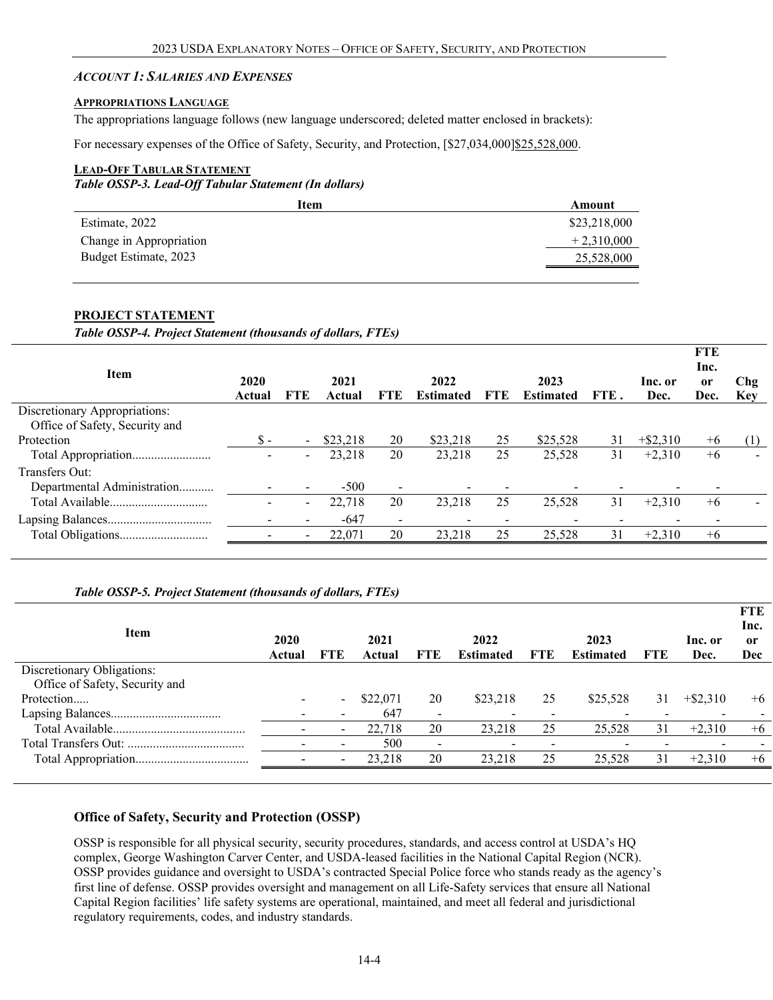#### *ACCOUNT 1: SALARIES AND EXPENSES*

#### **APPROPRIATIONS LANGUAGE**

The appropriations language follows (new language underscored; deleted matter enclosed in brackets):

For necessary expenses of the Office of Safety, Security, and Protection, [\$27,034,000]\$25,528,000.

#### **LEAD-OFF TABULAR STATEMENT**

*Table OSSP-3. Lead-Off Tabular Statement (In dollars)*

| Item                    | Amount       |
|-------------------------|--------------|
| Estimate, 2022          | \$23,218,000 |
| Change in Appropriation | $+2,310,000$ |
| Budget Estimate, 2023   | 25,528,000   |
|                         |              |

#### **PROJECT STATEMENT**

*Table OSSP-4. Project Statement (thousands of dollars, FTEs)*

| <b>Item</b>                                                     | 2020   |                          | 2021     |                          | 2022             |            | 2023             |      | Inc. or     | <b>FTE</b><br>Inc.<br><sub>or</sub> | Chg        |
|-----------------------------------------------------------------|--------|--------------------------|----------|--------------------------|------------------|------------|------------------|------|-------------|-------------------------------------|------------|
|                                                                 | Actual | FTE                      | Actual   | <b>FTE</b>               | <b>Estimated</b> | <b>FTE</b> | <b>Estimated</b> | FTE. | Dec.        | Dec.                                | <b>Key</b> |
| Discretionary Appropriations:<br>Office of Safety, Security and |        |                          |          |                          |                  |            |                  |      |             |                                     |            |
| Protection                                                      | \$ -   | $\overline{\phantom{0}}$ | \$23,218 | 20                       | \$23,218         | 25         | \$25,528         | 31   | $+$ \$2,310 | $+6$                                | (1)        |
| Total Appropriation                                             |        | $\overline{\phantom{a}}$ | 23,218   | 20                       | 23,218           | 25         | 25,528           | 31   | $+2,310$    | $+6$                                |            |
| Transfers Out:                                                  |        |                          |          |                          |                  |            |                  |      |             |                                     |            |
| Departmental Administration                                     |        |                          | $-500$   | $\overline{\phantom{a}}$ |                  |            |                  |      |             |                                     |            |
| Total Available                                                 |        | $\overline{\phantom{0}}$ | 22,718   | 20                       | 23,218           | 25         | 25,528           | 31   | $+2,310$    | $+6$                                |            |
|                                                                 |        |                          | $-647$   | $\overline{\phantom{0}}$ |                  |            |                  |      |             |                                     |            |
|                                                                 |        |                          | 22,071   | 20                       | 23,218           | 25         | 25,528           | 31   | $+2,310$    | $+6$                                |            |
|                                                                 |        |                          |          |                          |                  |            |                  |      |             |                                     |            |

#### *Table OSSP-5. Project Statement (thousands of dollars, FTEs)*

| <b>Item</b>                    | 2020<br>Actual | FTE                      | 2021<br>Actual | FTE             | 2022<br><b>Estimated</b> | FTE | 2023<br><b>Estimated</b> | FTE | Inc. or<br>Dec. | P L B<br>Inc.<br>or<br><b>Dec</b> |
|--------------------------------|----------------|--------------------------|----------------|-----------------|--------------------------|-----|--------------------------|-----|-----------------|-----------------------------------|
| Discretionary Obligations:     |                |                          |                |                 |                          |     |                          |     |                 |                                   |
| Office of Safety, Security and |                |                          |                |                 |                          |     |                          |     |                 |                                   |
| Protection                     |                | $\blacksquare$           | \$22,071       | 20              | \$23,218                 | 25  | \$25,528                 | 31  | $+$ \$2,310     | $+6$                              |
|                                |                |                          | 647            | -               |                          |     |                          |     |                 |                                   |
|                                |                | $\overline{\phantom{a}}$ | 22,718         | 20              | 23,218                   | 25  | 25,528                   | 31  | $+2,310$        | $+6$                              |
|                                |                | $\overline{\phantom{a}}$ | 500            | $\qquad \qquad$ | $\overline{\phantom{a}}$ |     |                          |     |                 |                                   |
|                                |                | $\sim$                   | 23,218         | 20              | 23.218                   | 25  | 25,528                   | 31  | $+2,310$        | $+6$                              |
|                                |                |                          |                |                 |                          |     |                          |     |                 |                                   |

**FTE**

#### **Office of Safety, Security and Protection (OSSP)**

OSSP is responsible for all physical security, security procedures, standards, and access control at USDA's HQ complex, George Washington Carver Center, and USDA-leased facilities in the National Capital Region (NCR). OSSP provides guidance and oversight to USDA's contracted Special Police force who stands ready as the agency's first line of defense. OSSP provides oversight and management on all Life-Safety services that ensure all National Capital Region facilities' life safety systems are operational, maintained, and meet all federal and jurisdictional regulatory requirements, codes, and industry standards.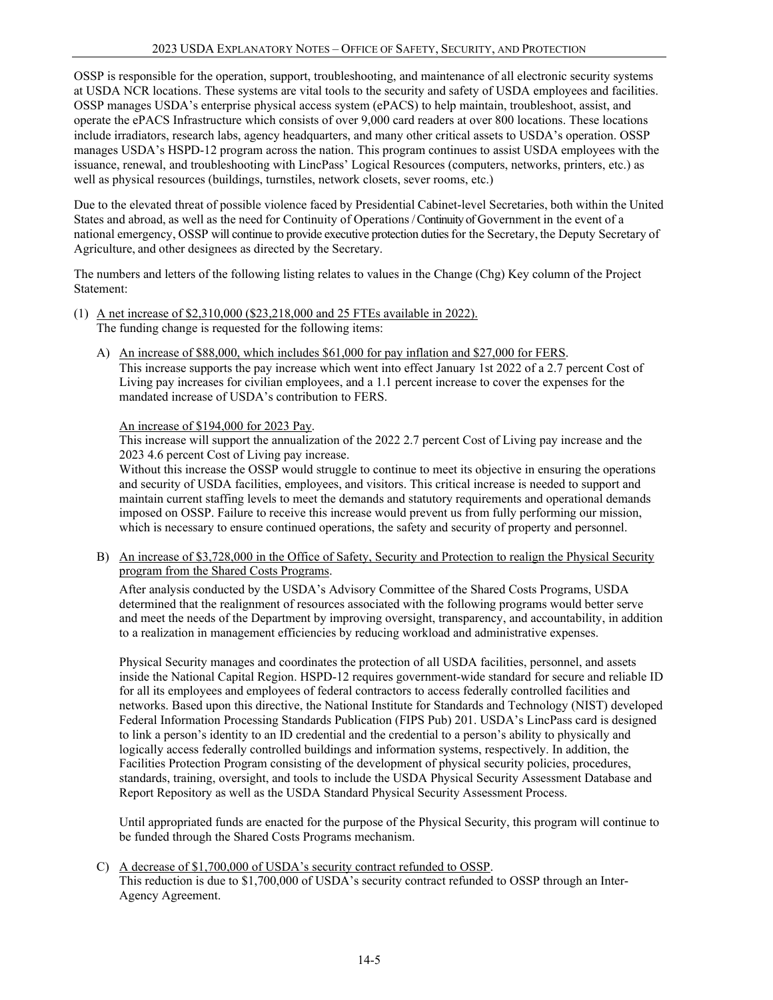OSSP is responsible for the operation, support, troubleshooting, and maintenance of all electronic security systems at USDA NCR locations. These systems are vital tools to the security and safety of USDA employees and facilities. OSSP manages USDA's enterprise physical access system (ePACS) to help maintain, troubleshoot, assist, and operate the ePACS Infrastructure which consists of over 9,000 card readers at over 800 locations. These locations include irradiators, research labs, agency headquarters, and many other critical assets to USDA's operation. OSSP manages USDA's HSPD-12 program across the nation. This program continues to assist USDA employees with the issuance, renewal, and troubleshooting with LincPass' Logical Resources (computers, networks, printers, etc.) as well as physical resources (buildings, turnstiles, network closets, sever rooms, etc.)

Due to the elevated threat of possible violence faced by Presidential Cabinet-level Secretaries, both within the United States and abroad, as well as the need for Continuity of Operations / Continuity of Government in the event of a national emergency, OSSP will continue to provide executive protection duties for the Secretary, the Deputy Secretary of Agriculture, and other designees as directed by the Secretary.

The numbers and letters of the following listing relates to values in the Change (Chg) Key column of the Project Statement:

- (1) A net increase of \$2,310,000 (\$23,218,000 and 25 FTEs available in 2022). The funding change is requested for the following items:
	- A) An increase of \$88,000, which includes \$61,000 for pay inflation and \$27,000 for FERS. This increase supports the pay increase which went into effect January 1st 2022 of a 2.7 percent Cost of Living pay increases for civilian employees, and a 1.1 percent increase to cover the expenses for the mandated increase of USDA's contribution to FERS.

An increase of \$194,000 for 2023 Pay.

This increase will support the annualization of the 2022 2.7 percent Cost of Living pay increase and the 2023 4.6 percent Cost of Living pay increase.

Without this increase the OSSP would struggle to continue to meet its objective in ensuring the operations and security of USDA facilities, employees, and visitors. This critical increase is needed to support and maintain current staffing levels to meet the demands and statutory requirements and operational demands imposed on OSSP. Failure to receive this increase would prevent us from fully performing our mission, which is necessary to ensure continued operations, the safety and security of property and personnel.

B) An increase of \$3,728,000 in the Office of Safety, Security and Protection to realign the Physical Security program from the Shared Costs Programs.

After analysis conducted by the USDA's Advisory Committee of the Shared Costs Programs, USDA determined that the realignment of resources associated with the following programs would better serve and meet the needs of the Department by improving oversight, transparency, and accountability, in addition to a realization in management efficiencies by reducing workload and administrative expenses.

Physical Security manages and coordinates the protection of all USDA facilities, personnel, and assets inside the National Capital Region. HSPD-12 requires government-wide standard for secure and reliable ID for all its employees and employees of federal contractors to access federally controlled facilities and networks. Based upon this directive, the National Institute for Standards and Technology (NIST) developed Federal Information Processing Standards Publication (FIPS Pub) 201. USDA's LincPass card is designed to link a person's identity to an ID credential and the credential to a person's ability to physically and logically access federally controlled buildings and information systems, respectively. In addition, the Facilities Protection Program consisting of the development of physical security policies, procedures, standards, training, oversight, and tools to include the USDA Physical Security Assessment Database and Report Repository as well as the USDA Standard Physical Security Assessment Process.

Until appropriated funds are enacted for the purpose of the Physical Security, this program will continue to be funded through the Shared Costs Programs mechanism.

C) A decrease of \$1,700,000 of USDA's security contract refunded to OSSP. This reduction is due to \$1,700,000 of USDA's security contract refunded to OSSP through an Inter-Agency Agreement.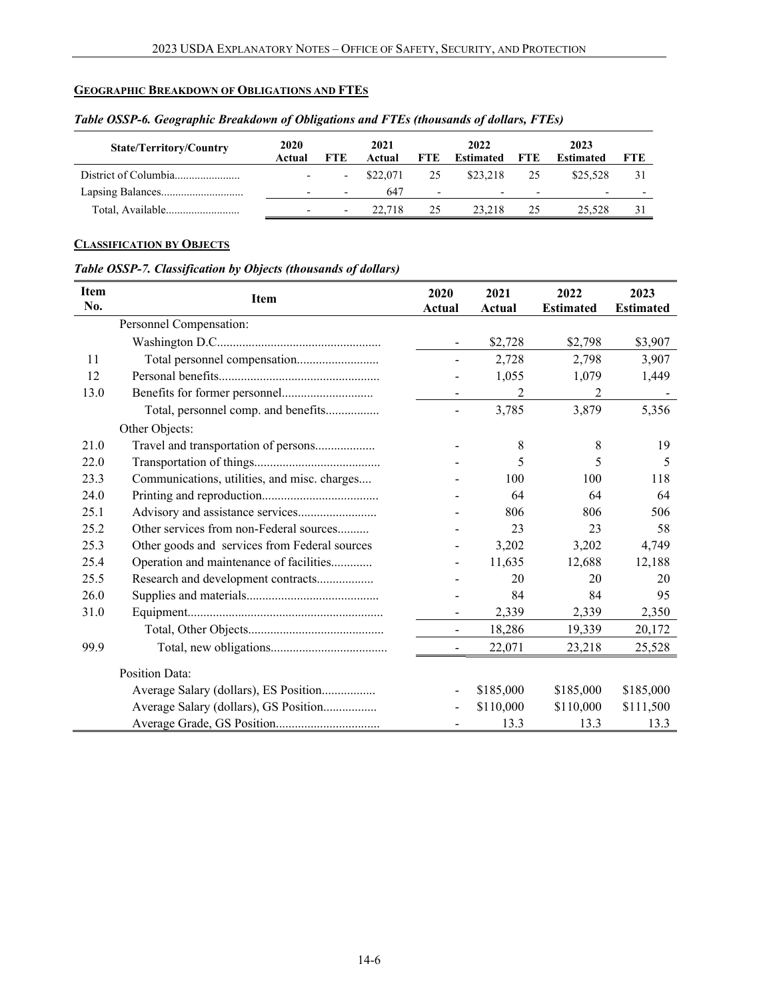# **GEOGRAPHIC BREAKDOWN OF OBLIGATIONS AND FTES**

| <b>State/Territory/Country</b> | 2020<br>Actual           | FTE.                     | 2021<br>Actual | <b>FTE</b>               | 2022<br>Estimated        | 2023<br>FTE<br><b>Estimated</b> |          | <b>FTE</b> |
|--------------------------------|--------------------------|--------------------------|----------------|--------------------------|--------------------------|---------------------------------|----------|------------|
|                                | $\overline{\phantom{0}}$ |                          | \$22.071       | 25                       | \$23,218                 | 25                              | \$25,528 |            |
|                                | $\overline{\phantom{0}}$ | $\overline{\phantom{0}}$ | 647            | $\overline{\phantom{0}}$ | $\overline{\phantom{0}}$ | $\overline{\phantom{a}}$        | -        |            |
|                                | $\overline{\phantom{0}}$ | $\overline{\phantom{0}}$ | 22.718         | 25                       | 23.218                   | 25                              | 25.528   | 31         |

## *Table OSSP-6. Geographic Breakdown of Obligations and FTEs (thousands of dollars, FTEs)*

# **CLASSIFICATION BY OBJECTS**

## *Table OSSP-7. Classification by Objects (thousands of dollars)*

| <b>Item</b><br>No. | Item                                          | 2020<br>Actual           | 2021<br>Actual | 2022<br><b>Estimated</b> | 2023<br><b>Estimated</b> |
|--------------------|-----------------------------------------------|--------------------------|----------------|--------------------------|--------------------------|
|                    | Personnel Compensation:                       |                          |                |                          |                          |
|                    |                                               | $\overline{\phantom{a}}$ | \$2,728        | \$2,798                  | \$3,907                  |
| 11                 |                                               | $\blacksquare$           | 2,728          | 2,798                    | 3,907                    |
| 12                 |                                               |                          | 1,055          | 1,079                    | 1,449                    |
| 13.0               |                                               | $\blacksquare$           | 2              | 2                        |                          |
|                    | Total, personnel comp. and benefits           | $\blacksquare$           | 3,785          | 3,879                    | 5,356                    |
|                    | Other Objects:                                |                          |                |                          |                          |
| 21.0               | Travel and transportation of persons          |                          | 8              | 8                        | 19                       |
| 22.0               |                                               |                          | 5              | 5                        | 5                        |
| 23.3               | Communications, utilities, and misc. charges  |                          | 100            | 100                      | 118                      |
| 24.0               |                                               |                          | 64             | 64                       | 64                       |
| 25.1               |                                               |                          | 806            | 806                      | 506                      |
| 25.2               | Other services from non-Federal sources       |                          | 23             | 23                       | 58                       |
| 25.3               | Other goods and services from Federal sources |                          | 3,202          | 3,202                    | 4,749                    |
| 25.4               | Operation and maintenance of facilities       | $\overline{\phantom{a}}$ | 11,635         | 12,688                   | 12,188                   |
| 25.5               | Research and development contracts            |                          | 20             | 20                       | 20                       |
| 26.0               |                                               |                          | 84             | 84                       | 95                       |
| 31.0               |                                               |                          | 2,339          | 2,339                    | 2,350                    |
|                    |                                               | $\overline{\phantom{m}}$ | 18,286         | 19,339                   | 20,172                   |
| 99.9               |                                               |                          | 22,071         | 23,218                   | 25,528                   |
|                    | <b>Position Data:</b>                         |                          |                |                          |                          |
|                    | Average Salary (dollars), ES Position         |                          | \$185,000      | \$185,000                | \$185,000                |
|                    | Average Salary (dollars), GS Position         | $\blacksquare$           | \$110,000      | \$110,000                | \$111,500                |
|                    |                                               |                          | 13.3           | 13.3                     | 13.3                     |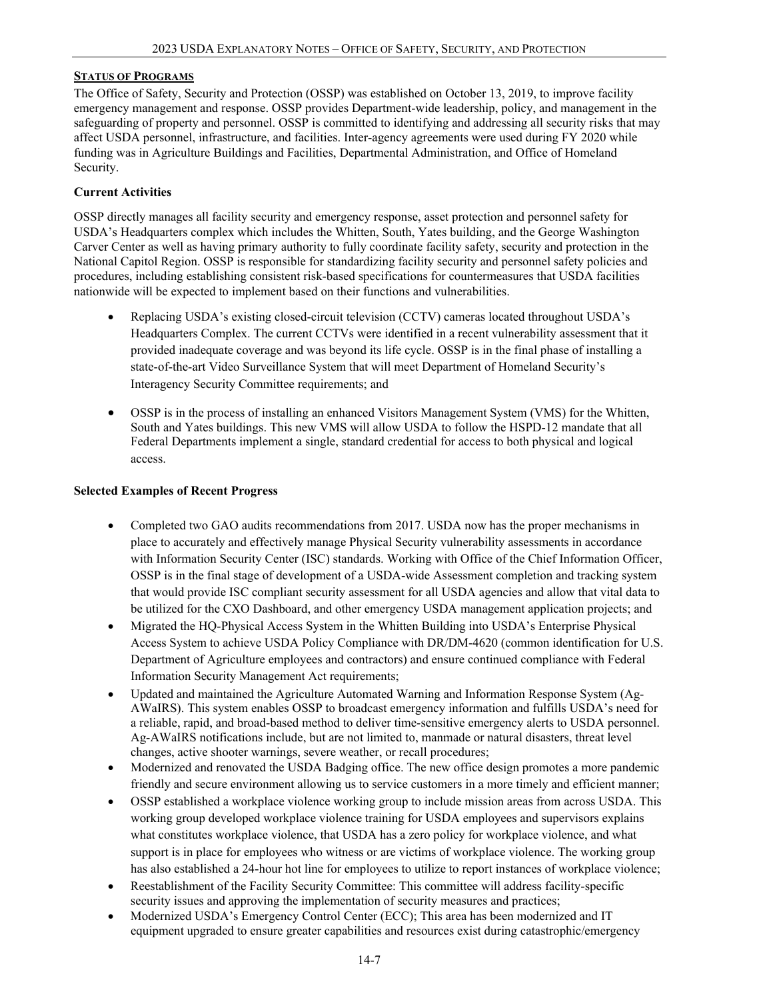### **STATUS OF PROGRAMS**

The Office of Safety, Security and Protection (OSSP) was established on October 13, 2019, to improve facility emergency management and response. OSSP provides Department-wide leadership, policy, and management in the safeguarding of property and personnel. OSSP is committed to identifying and addressing all security risks that may affect USDA personnel, infrastructure, and facilities. Inter-agency agreements were used during FY 2020 while funding was in Agriculture Buildings and Facilities, Departmental Administration, and Office of Homeland Security.

### **Current Activities**

OSSP directly manages all facility security and emergency response, asset protection and personnel safety for USDA's Headquarters complex which includes the Whitten, South, Yates building, and the George Washington Carver Center as well as having primary authority to fully coordinate facility safety, security and protection in the National Capitol Region. OSSP is responsible for standardizing facility security and personnel safety policies and procedures, including establishing consistent risk-based specifications for countermeasures that USDA facilities nationwide will be expected to implement based on their functions and vulnerabilities.

- Replacing USDA's existing closed-circuit television (CCTV) cameras located throughout USDA's Headquarters Complex. The current CCTVs were identified in a recent vulnerability assessment that it provided inadequate coverage and was beyond its life cycle. OSSP is in the final phase of installing a state-of-the-art Video Surveillance System that will meet Department of Homeland Security's Interagency Security Committee requirements; and
- OSSP is in the process of installing an enhanced Visitors Management System (VMS) for the Whitten, South and Yates buildings. This new VMS will allow USDA to follow the HSPD-12 mandate that all Federal Departments implement a single, standard credential for access to both physical and logical access.

### **Selected Examples of Recent Progress**

- Completed two GAO audits recommendations from 2017. USDA now has the proper mechanisms in place to accurately and effectively manage Physical Security vulnerability assessments in accordance with Information Security Center (ISC) standards. Working with Office of the Chief Information Officer, OSSP is in the final stage of development of a USDA-wide Assessment completion and tracking system that would provide ISC compliant security assessment for all USDA agencies and allow that vital data to be utilized for the CXO Dashboard, and other emergency USDA management application projects; and
- Migrated the HQ-Physical Access System in the Whitten Building into USDA's Enterprise Physical Access System to achieve USDA Policy Compliance with DR/DM-4620 (common identification for U.S. Department of Agriculture employees and contractors) and ensure continued compliance with Federal Information Security Management Act requirements;
- Updated and maintained the Agriculture Automated Warning and Information Response System (Ag-AWaIRS). This system enables OSSP to broadcast emergency information and fulfills USDA's need for a reliable, rapid, and broad-based method to deliver time-sensitive emergency alerts to USDA personnel. Ag-AWaIRS notifications include, but are not limited to, manmade or natural disasters, threat level changes, active shooter warnings, severe weather, or recall procedures;
- Modernized and renovated the USDA Badging office. The new office design promotes a more pandemic friendly and secure environment allowing us to service customers in a more timely and efficient manner;
- OSSP established a workplace violence working group to include mission areas from across USDA. This working group developed workplace violence training for USDA employees and supervisors explains what constitutes workplace violence, that USDA has a zero policy for workplace violence, and what support is in place for employees who witness or are victims of workplace violence. The working group has also established a 24-hour hot line for employees to utilize to report instances of workplace violence;
- Reestablishment of the Facility Security Committee: This committee will address facility-specific security issues and approving the implementation of security measures and practices;
- Modernized USDA's Emergency Control Center (ECC); This area has been modernized and IT equipment upgraded to ensure greater capabilities and resources exist during catastrophic/emergency